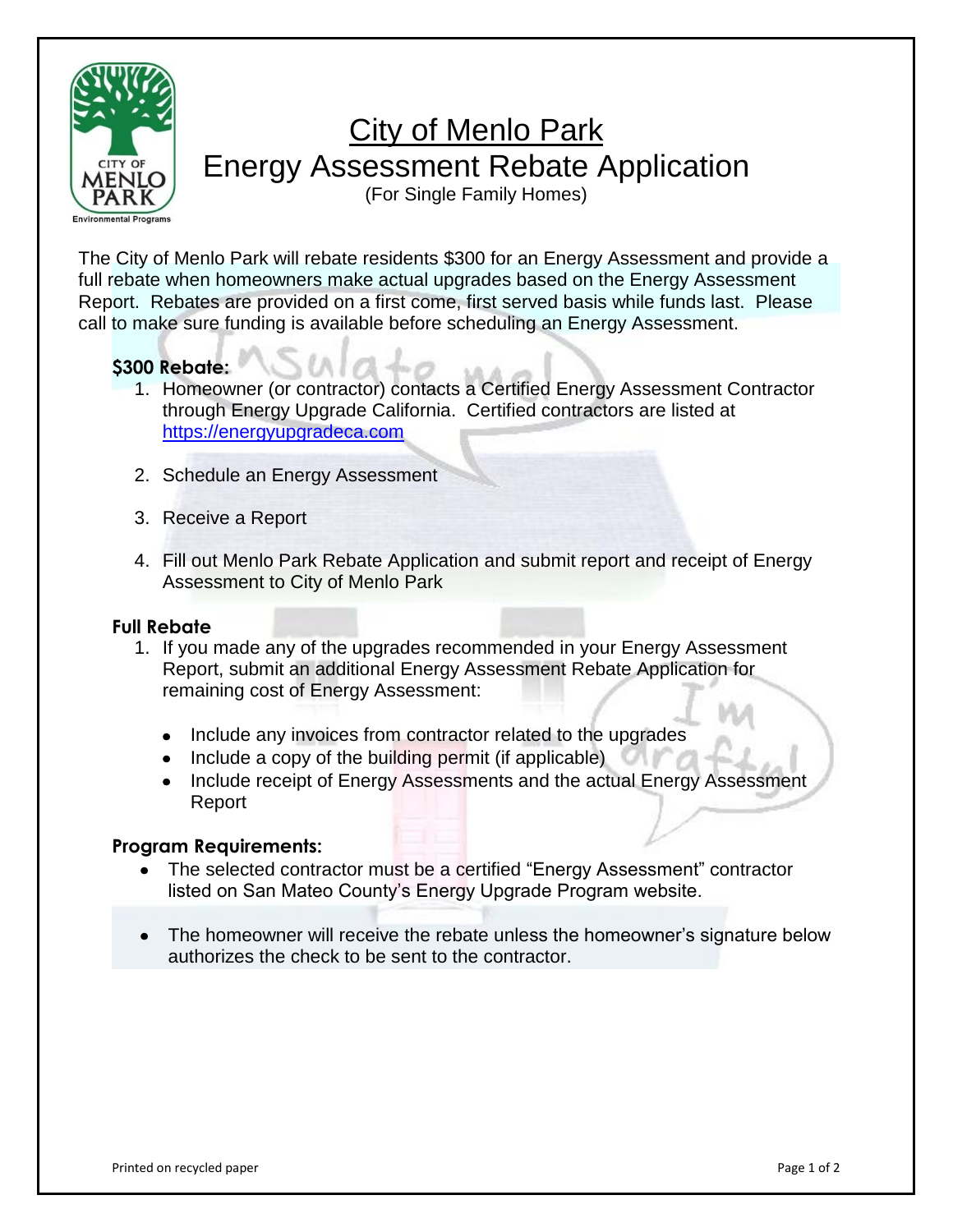

# **City of Menlo Park** Energy Assessment Rebate Application

(For Single Family Homes)

The City of Menlo Park will rebate residents \$300 for an Energy Assessment and provide a full rebate when homeowners make actual upgrades based on the Energy Assessment Report. Rebates are provided on a first come, first served basis while funds last. Please call to make sure funding is available before scheduling an Energy Assessment.

### **\$300 Rebate:**

- 1. Homeowner (or contractor) contacts a Certified Energy Assessment Contractor through Energy Upgrade California. Certified contractors are listed at [https://energyupgradeca.com](https://energyupgradeca.com/)
- 2. Schedule an Energy Assessment
- 3. Receive a Report
- 4. Fill out Menlo Park Rebate Application and submit report and receipt of Energy Assessment to City of Menlo Park

#### **Full Rebate**

- 1. If you made any of the upgrades recommended in your Energy Assessment Report, submit an additional Energy Assessment Rebate Application for remaining cost of Energy Assessment:
	- Include any invoices from contractor related to the upgrades
	- Include a copy of the building permit (if applicable)
	- Include receipt of Energy Assessments and the actual Energy Assessment Report

#### **Program Requirements:**

- The selected contractor must be a certified "Energy Assessment" contractor listed on San Mateo County's Energy Upgrade Program website.
- The homeowner will receive the rebate unless the homeowner's signature below authorizes the check to be sent to the contractor.